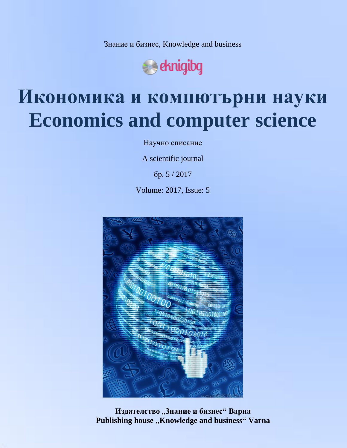Знание и бизнес, Knowledge and business



# **Икономика и компютърни науки Economics and computer science**

Научно списание

A scientific journal

бр. 5 / 2017

Volume: 2017, Issue: 5



**Издателство** "**Знание и бизнес" Варна** Publishing house "Knowledge and business" Varna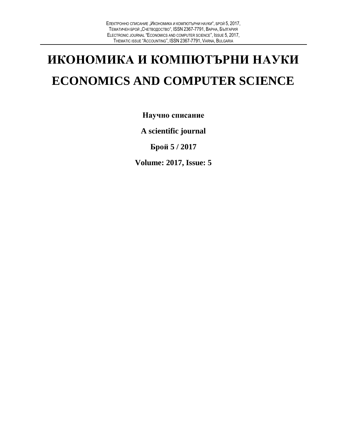## **ИКОНОМИКА И КОМПЮТЪРНИ НАУКИ ECONOMICS AND COMPUTER SCIENCE**

**Научно списание**

**A scientific journal**

**Брой 5 / 2017**

**Volume: 2017, Issue: 5**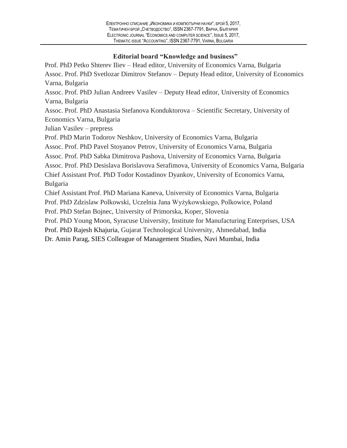#### **Editorial board "Knowledge and business"**

Prof. PhD Petko Shterev Iliev – Head editor, University of Economics Varna, Bulgaria Assoc. Prof. PhD Svetlozar Dimitrov Stefanov – Deputy Head editor, University of Economics Varna, Bulgaria Assoc. Prof. PhD Julian Andreev Vasilev – Deputy Head editor, University of Economics Varna, Bulgaria Assoc. Prof. PhD Anastasia Stefanova Konduktorova – Scientific Secretary, University of Economics Varna, Bulgaria Julian Vasilev – prepress Prof. PhD Marin Todorov Neshkov, University of Economics Varna, Bulgaria Assoc. Prof. PhD Pavel Stoyanov Petrov, University of Economics Varna, Bulgaria Assoc. Prof. PhD Sabka Dimitrova Pashova, University of Economics Varna, Bulgaria Assoc. Prof. PhD Desislava Borislavova Serafimova, University of Economics Varna, Bulgaria Chief Assistant Prof. PhD Todor Kostadinov Dyankov, University of Economics Varna, Bulgaria Chief Assistant Prof. PhD Mariana Kaneva, University of Economics Varna, Bulgaria Prof. PhD Zdzislaw Polkowski, Uczelnia Jana Wyżykowskiego, Polkowice, Poland Prof. PhD Stefan Bojnec, University of Primorska, Koper, Slovenia

Prof. PhD Young Moon, Syracuse University, Institute for Manufacturing Enterprises, USA

Prof. PhD Rajesh Khajuria, Gujarat Technological University, Ahmedabad, India

Dr. Amin Parag, SIES Colleague of Management Studies, Navi Mumbai, India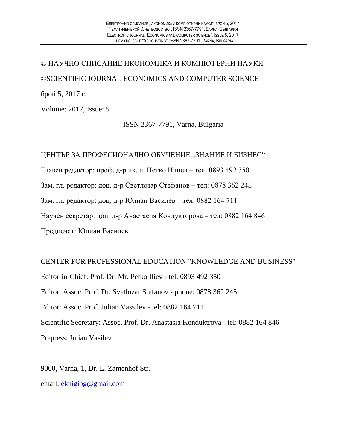© НАУЧНО СПИСАНИЕ ИКОНОМИКА И КОМПЮТЪРНИ НАУКИ ©SCIENTIFIC JOURNAL ECONOMICS AND COMPUTER SCIENCE брой 5, 2017 г.

Volume: 2017, Issue: 5

ISSN 2367-7791, Varna, Bulgaria

#### ЦЕНТЪР ЗА ПРОФЕСИОНАЛНО ОБУЧЕНИЕ "ЗНАНИЕ И БИЗНЕС"

Главен редактор: проф. д-р ик. н. Петко Илиев – тел: 0893 492 350

Зам. гл. редактор: доц. д-р Светлозар Стефанов – тел: 0878 362 245

Зам. гл. редактор: доц. д-р Юлиан Василев – тел: 0882 164 711

Научен секретар: доц. д-р Анастасия Кондукторова – тел: 0882 164 846

Предпечат: Юлиан Василев

CENTER FOR PROFESSIONAL EDUCATION "KNOWLEDGE AND BUSINESS" Editor-in-Chief: Prof. Dr. Mr. Petko Iliev - tel: 0893 492 350 Editor: Assoc. Prof. Dr. Svetlozar Stefanov - phone: 0878 362 245 Editor: Assoc. Prof. Julian Vassilev - tel: 0882 164 711 Scientific Secretary: Assoc. Prof. Dr. Anastasia Konduktrova - tel: 0882 164 846 Prepress: Julian Vasilev

9000, Varna, 1, Dr. L. Zamenhof Str. email: [eknigibg@gmail.com](mailto:eknigibg@gmail.com)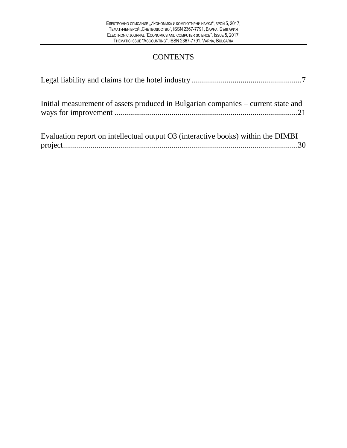## **CONTENTS**

| Initial measurement of assets produced in Bulgarian companies – current state and |
|-----------------------------------------------------------------------------------|
| Evaluation report on intellectual output O3 (interactive books) within the DIMBI  |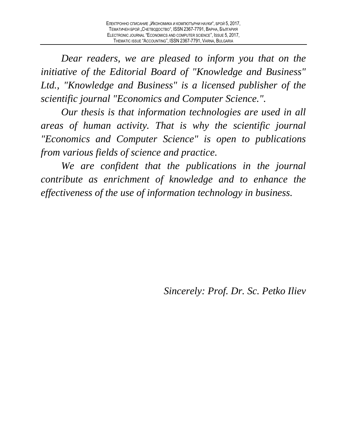*Dear readers, we are pleased to inform you that on the initiative of the Editorial Board of "Knowledge and Business" Ltd., "Knowledge and Business" is a licensed publisher of the scientific journal "Economics and Computer Science.".*

*Our thesis is that information technologies are used in all areas of human activity. That is why the scientific journal "Economics and Computer Science" is open to publications from various fields of science and practice.*

*We are confident that the publications in the journal contribute as enrichment of knowledge and to enhance the effectiveness of the use of information technology in business.*

*Sincerely: Prof. Dr. Sc. Petko Iliev*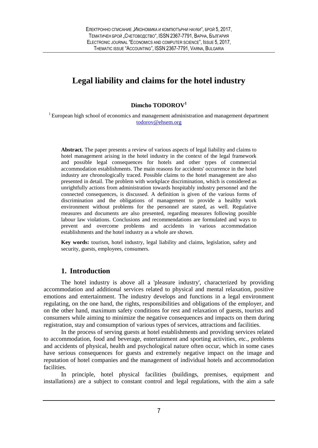### **Legal liability and claims for the hotel industry**

#### **Dimcho TODOROV<sup>1</sup>**

<span id="page-6-0"></span><sup>1</sup> European high school of economics and management administration and management department [todorov@ehsem.org](mailto:todorov@ehsem.org)

**Abstract.** The paper presents a review of various aspects of legal liability and claims to hotel management arising in the hotel industry in the context of the legal framework and possible legal consequences for hotels and other types of commercial accommodation establishments. The main reasons for accidents' occurrence in the hotel industry are chronologically traced. Possible claims to the hotel management are also presented in detail. The problem with workplace discrimination, which is considered as unrightfully actions from administration towards hospitably industry personnel and the connected consequences, is discussed. A definition is given of the various forms of discrimination and the obligations of management to provide a healthy work environment without problems for the personnel are stated, as well. Regulative measures and documents are also presented, regarding measures following possible labour law violations. Conclusions and recommendations are formulated and ways to prevent and overcome problems and accidents in various accommodation establishments and the hotel industry as a whole are shown.

**Key words:** tourism, hotel industry, legal liability and claims, legislation, safety and security, guests, employees, consumers.

#### **1. Introduction**

The hotel industry is above all a 'pleasure industry', characterized by providing accommodation and additional services related to physical and mental relaxation, positive emotions and entertainment. The industry develops and functions in a legal environment regulating, on the one hand, the rights, responsibilities and obligations of the employer, and on the other hand, maximum safety conditions for rest and relaxation of guests, tourists and consumers while aiming to minimize the negative consequences and impacts on them during registration, stay and consumption of various types of services, attractions and facilities.

In the process of serving guests at hotel establishments and providing services related to accommodation, food and beverage, entertainment and sporting activities, etc., problems and accidents of physical, health and psychological nature often occur, which in some cases have serious consequences for guests and extremely negative impact on the image and reputation of hotel companies and the management of individual hotels and accommodation facilities.

In principle, hotel physical facilities (buildings, premises, equipment and installations) are a subject to constant control and legal regulations, with the aim a safe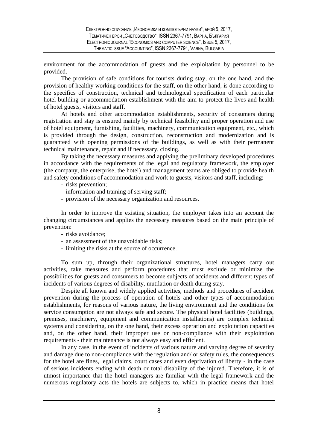environment for the accommodation of guests and the exploitation by personnel to be provided.

The provision of safe conditions for tourists during stay, on the one hand, and the provision of healthy working conditions for the staff, on the other hand, is done according to the specifics of construction, technical and technological specification of each particular hotel building or accommodation establishment with the aim to protect the lives and health of hotel guests, visitors and staff.

At hotels and other accommodation establishments, security of consumers during registration and stay is ensured mainly by technical feasibility and proper operation and use of hotel equipment, furnishing, facilities, machinery, communication equipment, etc., which is provided through the design, construction, reconstruction and modernization and is guaranteed with opening permissions of the buildings, as well as with their permanent technical maintenance, repair and if necessary, closing.

By taking the necessary measures and applying the preliminary developed procedures in accordance with the requirements of the legal and regulatory framework, the employer (the company, the enterprise, the hotel) and management teams are obliged to provide health and safety conditions of accommodation and work to guests, visitors and staff, including:

- risks prevention;
- information and training of serving staff;
- provision of the necessary organization and resources.

In order to improve the existing situation, the employer takes into an account the changing circumstances and applies the necessary measures based on the main principle of prevention:

- risks avoidance;
- an assessment of the unavoidable risks;
- limiting the risks at the source of occurrence.

To sum up, through their organizational structures, hotel managers carry out activities, take measures and perform procedures that must exclude or minimize the possibilities for guests and consumers to become subjects of accidents and different types of incidents of various degrees of disability, mutilation or death during stay.

Despite all known and widely applied activities, methods and procedures of accident prevention during the process of operation of hotels and other types of accommodation establishments, for reasons of various nature, the living environment and the conditions for service consumption are not always safe and secure. The physical hotel facilities (buildings, premises, machinery, equipment and communication installations) are complex technical systems and considering, on the one hand, their excess operation and exploitation capacities and, on the other hand, their improper use or non-compliance with their exploitation requirements - their maintenance is not always easy and efficient.

In any case, in the event of incidents of various nature and varying degree of severity and damage due to non-compliance with the regulation and/ or safety rules, the consequences for the hotel are fines, legal claims, court cases and even deprivation of liberty - in the case of serious incidents ending with death or total disability of the injured. Therefore, it is of utmost importance that the hotel managers are familiar with the legal framework and the numerous regulatory acts the hotels are subjects to, which in practice means that hotel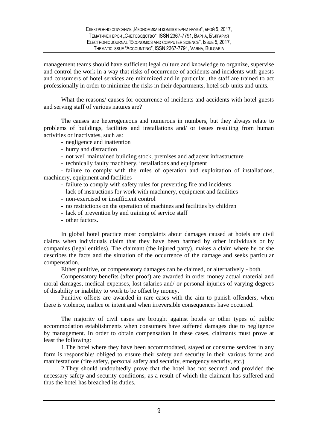management teams should have sufficient legal culture and knowledge to organize, supervise and control the work in a way that risks of occurrence of accidents and incidents with guests and consumers of hotel services are minimized and in particular, the staff are trained to act professionally in order to minimize the risks in their departments, hotel sub-units and units.

What the reasons/ causes for occurrence of incidents and accidents with hotel guests and serving staff of various natures are?

The causes are heterogeneous and numerous in numbers, but they always relate to problems of buildings, facilities and installations and/ or issues resulting from human activities or inactivates, such as:

- negligence and inattention
- hurry and distraction
- not well maintained building stock, premises and adjacent infrastructure
- technically faulty machinery, installations and equipment

- failure to comply with the rules of operation and exploitation of installations, machinery, equipment and facilities

- failure to comply with safety rules for preventing fire and incidents
- lack of instructions for work with machinery, equipment and facilities
- non-exercised or insufficient control
- no restrictions on the operation of machines and facilities by children
- lack of prevention by and training of service staff
- other factors.

In global hotel practice most complaints about damages caused at hotels are civil claims when individuals claim that they have been harmed by other individuals or by companies (legal entities). The claimant (the injured party), makes a claim where he or she describes the facts and the situation of the occurrence of the damage and seeks particular compensation.

Either punitive, or compensatory damages can be claimed, or alternatively - both.

Compensatory benefits (after proof) are awarded in order money actual material and moral damages, medical expenses, lost salaries and/ or personal injuries of varying degrees of disability or inability to work to be offset by money.

Punitive offsets are awarded in rare cases with the aim to punish offenders, when there is violence, malice or intent and when irreversible consequences have occurred.

The majority of civil cases are brought against hotels or other types of public accommodation establishments when consumers have suffered damages due to negligence by management. In order to obtain compensation in these cases, claimants must prove at least the following:

1.The hotel where they have been accommodated, stayed or consume services in any form is responsible/ obliged to ensure their safety and security in their various forms and manifestations (fire safety, personal safety and security, emergency security, etc.)

2.They should undoubtedly prove that the hotel has not secured and provided the necessary safety and security conditions, as a result of which the claimant has suffered and thus the hotel has breached its duties.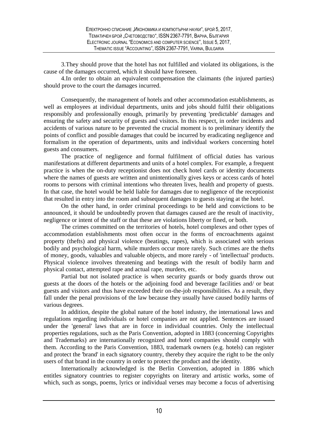3.They should prove that the hotel has not fulfilled and violated its obligations, is the cause of the damages occurred, which it should have foreseen.

4.In order to obtain an equivalent compensation the claimants (the injured parties) should prove to the court the damages incurred.

Consequently, the management of hotels and other accommodation establishments, as well as employees at individual departments, units and jobs should fulfil their obligations responsibly and professionally enough, primarily by preventing 'predictable' damages and ensuring the safety and security of guests and visitors. In this respect, in order incidents and accidents of various nature to be prevented the crucial moment is to preliminary identify the points of conflict and possible damages that could be incurred by eradicating negligence and formalism in the operation of departments, units and individual workers concerning hotel guests and consumers.

The practice of negligence and formal fulfilment of official duties has various manifestations at different departments and units of a hotel complex. For example, a frequent practice is when the on-duty receptionist does not check hotel cards or identity documents where the names of guests are written and unintentionally gives keys or access cards of hotel rooms to persons with criminal intentions who threaten lives, health and property of guests. In that case, the hotel would be held liable for damages due to negligence of the receptionist that resulted in entry into the room and subsequent damages to guests staying at the hotel.

On the other hand, in order criminal proceedings to be held and convictions to be announced, it should be undoubtedly proven that damages caused are the result of inactivity, negligence or intent of the staff or that these are violations liberty or fined, or both.

The crimes committed on the territories of hotels, hotel complexes and other types of accommodation establishments most often occur in the forms of encroachments against property (thefts) and physical violence (beatings, rapes), which is associated with serious bodily and psychological harm, while murders occur more rarely. Such crimes are the thefts of money, goods, valuables and valuable objects, and more rarely - of 'intellectual' products. Physical violence involves threatening and beatings with the result of bodily harm and physical contact, attempted rape and actual rape, murders, etc.

Partial but not isolated practice is when security guards or body guards throw out guests at the doors of the hotels or the adjoining food and beverage facilities and/ or beat guests and visitors and thus have exceeded their on-the-job responsibilities. As a result, they fall under the penal provisions of the law because they usually have caused bodily harms of various degrees.

In addition, despite the global nature of the hotel industry, the international laws and regulations regarding individuals or hotel companies are not applied. Sentences are issued under the 'general' laws that are in force in individual countries. Only the intellectual properties regulations, such as the Paris Convention, adopted in 1883 (concerning Copyrights and Trademarks) are internationally recognized and hotel companies should comply with them. According to the Paris Convention, 1883, trademark owners (e.g. hotels) can register and protect the 'brand' in each signatory country, thereby they acquire the right to be the only users of that brand in the country in order to protect the product and the identity.

Internationally acknowledged is the Berlin Convention, adopted in 1886 which entitles signatory countries to register copyrights on literary and artistic works, some of which, such as songs, poems, lyrics or individual verses may become a focus of advertising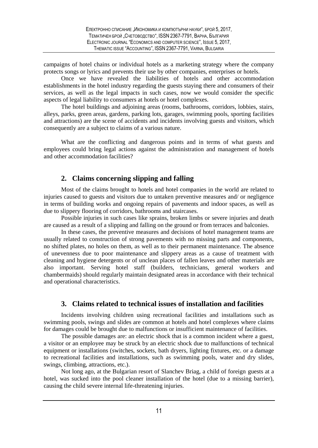campaigns of hotel chains or individual hotels as a marketing strategy where the company protects songs or lyrics and prevents their use by other companies, enterprises or hotels.

Once we have revealed the liabilities of hotels and other accommodation establishments in the hotel industry regarding the guests staying there and consumers of their services, as well as the legal impacts in such cases, now we would consider the specific aspects of legal liability to consumers at hotels or hotel complexes.

The hotel buildings and adjoining areas (rooms, bathrooms, corridors, lobbies, stairs, alleys, parks, green areas, gardens, parking lots, garages, swimming pools, sporting facilities and attractions) are the scene of accidents and incidents involving guests and visitors, which consequently are a subject to claims of a various nature.

What are the conflicting and dangerous points and in terms of what guests and employees could bring legal actions against the administration and management of hotels and other accommodation facilities?

#### **2. Claims concerning slipping and falling**

Most of the claims brought to hotels and hotel companies in the world are related to injuries caused to guests and visitors due to untaken preventive measures and/ or negligence in terms of building works and ongoing repairs of pavements and indoor spaces, as well as due to slippery flooring of corridors, bathrooms and staircases.

Possible injuries in such cases like sprains, broken limbs or severe injuries and death are caused as a result of a slipping and falling on the ground or from terraces and balconies.

In these cases, the preventive measures and decisions of hotel management teams are usually related to construction of strong pavements with no missing parts and components, no shifted plates, no holes on them, as well as to their permanent maintenance. The absence of unevenness due to poor maintenance and slippery areas as a cause of treatment with cleaning and hygiene detergents or of unclean places of fallen leaves and other materials are also important. Serving hotel staff (builders, technicians, general workers and chambermaids) should regularly maintain designated areas in accordance with their technical and operational characteristics.

#### **3. Claims related to technical issues of installation and facilities**

Incidents involving children using recreational facilities and installations such as swimming pools, swings and slides are common at hotels and hotel complexes where claims for damages could be brought due to malfunctions or insufficient maintenance of facilities.

The possible damages are: an electric shock that is a common incident where a guest, a visitor or an employee may be struck by an electric shock due to malfunctions of technical equipment or installations (switches, sockets, bath dryers, lighting fixtures, etc. or a damage to recreational facilities and installations, such as swimming pools, water and dry slides, swings, climbing, attractions, etc.).

Not long ago, at the Bulgarian resort of Slanchev Briag, a child of foreign guests at a hotel, was sucked into the pool cleaner installation of the hotel (due to a missing barrier), causing the child severe internal life-threatening injuries.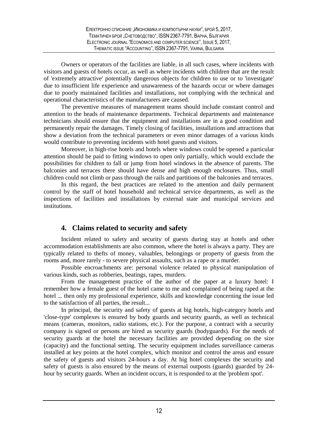Owners or operators of the facilities are liable, in all such cases, where incidents with visitors and guests of hotels occur, as well as where incidents with children that are the result of 'extremely attractive' potentially dangerous objects for children to use or to 'investigate' due to insufficient life experience and unawareness of the hazards occur or where damages due to poorly maintained facilities and installations, not complying with the technical and operational characteristics of the manufacturers are caused.

The preventive measures of management teams should include constant control and attention to the heads of maintenance departments. Technical departments and maintenance technicians should ensure that the equipment and installations are in a good condition and permanently repair the damages. Timely closing of facilities, installations and attractions that show a deviation from the technical parameters or even minor damages of a various kinds would contribute to preventing incidents with hotel guests and visitors.

Moreover, in high-rise hotels and hotels where windows could be opened a particular attention should be paid to fitting windows to open only partially, which would exclude the possibilities for children to fall or jump from hotel windows in the absence of parents. The balconies and terraces there should have dense and high enough enclosures. Thus, small children could not climb or pass through the rails and partitions of the balconies and terraces.

In this regard, the best practices are related to the attention and daily permanent control by the staff of hotel household and technical service departments, as well as the inspections of facilities and installations by external state and municipal services and institutions.

#### **4. Claims related to security and safety**

Incident related to safety and security of guests during stay at hotels and other accommodation establishments are also common, where the hotel is always a party. They are typically related to thefts of money, valuables, belongings or property of guests from the rooms and, more rarely - to severe physical assaults, such as a rape or a murder.

Possible encroachments are: personal violence related to physical manipulation of various kinds, such as robberies, beatings, rapes, murders.

From the management practice of the author of the paper at a luxury hotel: I remember how a female guest of the hotel came to me and complained of being raped at the hotel ... then only my professional experience, skills and knowledge concerning the issue led to the satisfaction of all parties, the result...

In principal, the security and safety of guests at big hotels, high-category hotels and 'close-type' complexes is ensured by body guards and security guards, as well as technical means (cameras, monitors, radio stations, etc.). For the purpose, a contract with a security company is signed or persons are hired as security guards (bodyguards). For the needs of security guards at the hotel the necessary facilities are provided depending on the size (capacity) and the functional setting. The security equipment includes surveillance cameras installed at key points at the hotel complex, which monitor and control the areas and ensure the safety of guests and visitors 24-hours a day. At big hotel complexes the security and safety of guests is also ensured by the means of external outposts (guards) guarded by 24 hour by security guards. When an incident occurs, it is responded to at the 'problem spot'.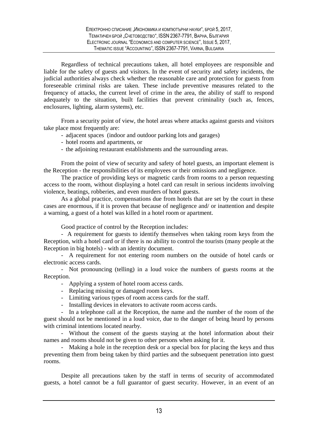Regardless of technical precautions taken, all hotel employees are responsible and liable for the safety of guests and visitors. In the event of security and safety incidents, the judicial authorities always check whether the reasonable care and protection for guests from foreseeable criminal risks are taken. These include preventive measures related to the frequency of attacks, the current level of crime in the area, the ability of staff to respond adequately to the situation, built facilities that prevent criminality (such as, fences, enclosures, lighting, alarm systems), etc.

From a security point of view, the hotel areas where attacks against guests and visitors take place most frequently are:

- adjacent spaces (indoor and outdoor parking lots and garages)
- hotel rooms and apartments, or
- the adjoining restaurant establishments and the surrounding areas.

From the point of view of security and safety of hotel guests, an important element is the Reception - the responsibilities of its employees or their omissions and negligence.

The practice of providing keys or magnetic cards from rooms to a person requesting access to the room, without displaying a hotel card can result in serious incidents involving violence, beatings, robberies, and even murders of hotel guests.

As a global practice, compensations due from hotels that are set by the court in these cases are enormous, if it is proven that because of negligence and/ or inattention and despite a warning, a guest of a hotel was killed in a hotel room or apartment.

Good practice of control by the Reception includes:

- A requirement for guests to identify themselves when taking room keys from the Reception, with a hotel card or if there is no ability to control the tourists (many people at the Reception in big hotels) - with an identity document.

- A requirement for not entering room numbers on the outside of hotel cards or electronic access cards.

- Not pronouncing (telling) in a loud voice the numbers of guests rooms at the Reception.

- Applying a system of hotel room access cards.
- Replacing missing or damaged room keys.
- Limiting various types of room access cards for the staff.
- Installing devices in elevators to activate room access cards.

- In a telephone call at the Reception, the name and the number of the room of the guest should not be mentioned in a loud voice, due to the danger of being heard by persons with criminal intentions located nearby.

- Without the consent of the guests staying at the hotel information about their names and rooms should not be given to other persons when asking for it.

- Making a hole in the reception desk or a special box for placing the keys and thus preventing them from being taken by third parties and the subsequent penetration into guest rooms.

Despite all precautions taken by the staff in terms of security of accommodated guests, a hotel cannot be a full guarantor of guest security. However, in an event of an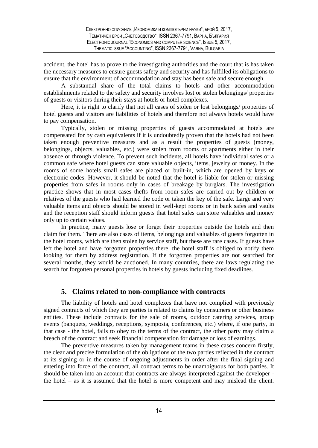accident, the hotel has to prove to the investigating authorities and the court that is has taken the necessary measures to ensure guests safety and security and has fulfilled its obligations to ensure that the environment of accommodation and stay has been safe and secure enough.

A substantial share of the total claims to hotels and other accommodation establishments related to the safety and security involves lost or stolen belongings/ properties of guests or visitors during their stays at hotels or hotel complexes.

Here, it is right to clarify that not all cases of stolen or lost belongings/ properties of hotel guests and visitors are liabilities of hotels and therefore not always hotels would have to pay compensation.

Typically, stolen or missing properties of guests accommodated at hotels are compensated for by cash equivalents if it is undoubtedly proven that the hotels had not been taken enough preventive measures and as a result the properties of guests (money, belongings, objects, valuables, etc.) were stolen from rooms or apartments either in their absence or through violence. To prevent such incidents, all hotels have individual safes or a common safe where hotel guests can store valuable objects, items, jewelry or money. In the rooms of some hotels small safes are placed or built-in, which are opened by keys or electronic codes. However, it should be noted that the hotel is liable for stolen or missing properties from safes in rooms only in cases of breakage by burglars. The investigation practice shows that in most cases thefts from room safes are carried out by children or relatives of the guests who had learned the code or taken the key of the safe. Large and very valuable items and objects should be stored in well-kept rooms or in bank safes and vaults and the reception staff should inform guests that hotel safes can store valuables and money only up to certain values.

In practice, many guests lose or forget their properties outside the hotels and then claim for them. There are also cases of items, belongings and valuables of guests forgotten in the hotel rooms, which are then stolen by service staff, but these are rare cases. If guests have left the hotel and have forgotten properties there, the hotel staff is obliged to notify them looking for them by address registration. If the forgotten properties are not searched for several months, they would be auctioned. In many countries, there are laws regulating the search for forgotten personal properties in hotels by guests including fixed deadlines.

#### **5. Claims related to non-compliance with contracts**

The liability of hotels and hotel complexes that have not complied with previously signed contracts of which they are parties is related to claims by consumers or other business entities. These include contracts for the sale of rooms, outdoor catering services, group events (banquets, weddings, receptions, symposia, conferences, etc.) where, if one party, in that case - the hotel, fails to obey to the terms of the contract, the other party may claim a breach of the contract and seek financial compensation for damage or loss of earnings.

The preventive measures taken by management teams in these cases concern firstly, the clear and precise formulation of the obligations of the two parties reflected in the contract at its signing or in the course of ongoing adjustments in order after the final signing and entering into force of the contract, all contract terms to be unambiguous for both parties. It should be taken into an account that contracts are always interpreted against the developer the hotel – as it is assumed that the hotel is more competent and may mislead the client.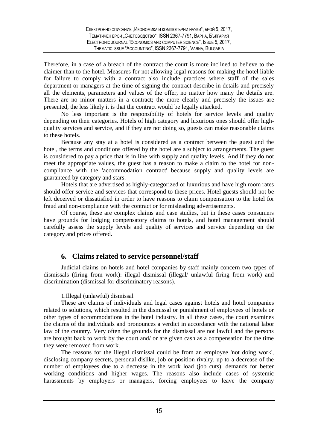Therefore, in a case of a breach of the contract the court is more inclined to believe to the claimer than to the hotel. Measures for not allowing legal reasons for making the hotel liable for failure to comply with a contract also include practices where staff of the sales department or managers at the time of signing the contract describe in details and precisely all the elements, parameters and values of the offer, no matter how many the details are. There are no minor matters in a contract; the more clearly and precisely the issues are presented, the less likely it is that the contract would be legally attacked.

No less important is the responsibility of hotels for service levels and quality depending on their categories. Hotels of high category and luxurious ones should offer highquality services and service, and if they are not doing so, guests can make reasonable claims to these hotels.

Because any stay at a hotel is considered as a contract between the guest and the hotel, the terms and conditions offered by the hotel are a subject to arrangements. The guest is considered to pay a price that is in line with supply and quality levels. And if they do not meet the appropriate values, the guest has a reason to make a claim to the hotel for noncompliance with the 'accommodation contract' because supply and quality levels are guaranteed by category and stars.

Hotels that are advertised as highly-categorized or luxurious and have high room rates should offer service and services that correspond to these prices. Hotel guests should not be left deceived or dissatisfied in order to have reasons to claim compensation to the hotel for fraud and non-compliance with the contract or for misleading advertisements.

Of course, these are complex claims and case studies, but in these cases consumers have grounds for lodging compensatory claims to hotels, and hotel management should carefully assess the supply levels and quality of services and service depending on the category and prices offered.

#### **6. Claims related to service personnel/staff**

Judicial claims on hotels and hotel companies by staff mainly concern two types of dismissals (firing from work): illegal dismissal (illegal/ unlawful firing from work) and discrimination (dismissal for discriminatory reasons).

#### 1.Illegal (unlawful) dismissal

These are claims of individuals and legal cases against hotels and hotel companies related to solutions, which resulted in the dismissal or punishment of employees of hotels or other types of accommodations in the hotel industry. In all these cases, the court examines the claims of the individuals and pronounces a verdict in accordance with the national labor law of the country. Very often the grounds for the dismissal are not lawful and the persons are brought back to work by the court and/ or are given cash as a compensation for the time they were removed from work.

The reasons for the illegal dismissal could be from an employee 'not doing work', disclosing company secrets, personal dislike, job or position rivalry, up to a decrease of the number of employees due to a decrease in the work load (job cuts), demands for better working conditions and higher wages. The reasons also include cases of systemic harassments by employers or managers, forcing employees to leave the company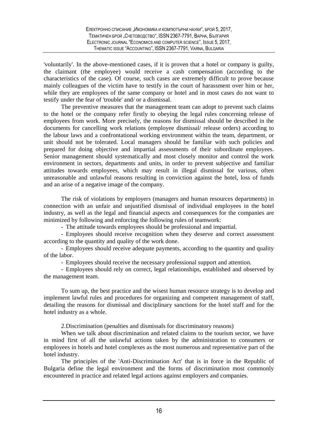'voluntarily'. In the above-mentioned cases, if it is proven that a hotel or company is guilty, the claimant (the employee) would receive a cash compensation (according to the characteristics of the case). Of course, such cases are extremely difficult to prove because mainly colleagues of the victim have to testify in the court of harassment over him or her, while they are employees of the same company or hotel and in most cases do not want to testify under the fear of 'trouble' and/ or a dismissal.

The preventive measures that the management team can adopt to prevent such claims to the hotel or the company refer firstly to obeying the legal rules concerning release of employees from work. More precisely, the reasons for dismissal should be described in the documents for cancelling work relations (employee dismissal/ release orders) according to the labour laws and a confrontational working environment within the team, department, or unit should not be tolerated. Local managers should be familiar with such policies and prepared for doing objective and impartial assessments of their subordinate employees. Senior management should systematically and most closely monitor and control the work environment in sectors, departments and units, in order to prevent subjective and familiar attitudes towards employees, which may result in illegal dismissal for various, often unreasonable and unlawful reasons resulting in conviction against the hotel, loss of funds and an arise of a negative image of the company.

The risk of violations by employers (managers and human resources departments) in connection with an unfair and unjustified dismissal of individual employees in the hotel industry, as well as the legal and financial aspects and consequences for the companies are minimized by following and enforcing the following rules of teamwork:

- The attitude towards employees should be professional and impartial.

- Employees should receive recognition when they deserve and correct assessment according to the quantity and quality of the work done.

- Employees should receive adequate payments, according to the quantity and quality of the labor.

- Employees should receive the necessary professional support and attention.

- Employees should rely on correct, legal relationships, established and observed by the management team.

To sum up, the best practice and the wisest human resource strategy is to develop and implement lawful rules and procedures for organizing and competent management of staff, detailing the reasons for dismissal and disciplinary sanctions for the hotel staff and for the hotel industry as a whole.

2.Discrimination (penalties and dismissals for discriminatory reasons)

When we talk about discrimination and related claims to the tourism sector, we have in mind first of all the unlawful actions taken by the administration to consumers or employees in hotels and hotel complexes as the most numerous and representative part of the hotel industry.

The principles of the 'Anti-Discrimination Act' that is in force in the Republic of Bulgaria define the legal environment and the forms of discrimination most commonly encountered in practice and related legal actions against employers and companies.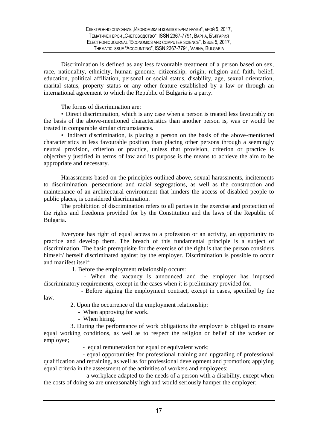Discrimination is defined as any less favourable treatment of a person based on sex, race, nationality, ethnicity, human genome, citizenship, origin, religion and faith, belief, education, political affiliation, personal or social status, disability, age, sexual orientation, marital status, property status or any other feature established by a law or through an international agreement to which the Republic of Bulgaria is a party.

The forms of discrimination are:

• Direct discrimination, which is any case when a person is treated less favourably on the basis of the above-mentioned characteristics than another person is, was or would be treated in comparable similar circumstances.

• Indirect discrimination, is placing a person on the basis of the above-mentioned characteristics in less favourable position than placing other persons through a seemingly neutral provision, criterion or practice, unless that provision, criterion or practice is objectively justified in terms of law and its purpose is the means to achieve the aim to be appropriate and necessary.

Harassments based on the principles outlined above, sexual harassments, incitements to discrimination, persecutions and racial segregations, as well as the construction and maintenance of an architectural environment that hinders the access of disabled people to public places, is considered discrimination.

The prohibition of discrimination refers to all parties in the exercise and protection of the rights and freedoms provided for by the Constitution and the laws of the Republic of Bulgaria.

Everyone has right of equal access to a profession or an activity, an opportunity to practice and develop them. The breach of this fundamental principle is a subject of discrimination. The basic prerequisite for the exercise of the right is that the person considers himself/ herself discriminated against by the employer. Discrimination is possible to occur and manifest itself:

1. Before the employment relationship occurs:

 - When the vacancy is announced and the employer has imposed discriminatory requirements, except in the cases when it is preliminary provided for.

 - Before signing the employment contract, except in cases, specified by the law.

2. Upon the occurrence of the employment relationship:

- When approving for work.

- When hiring.

 3. During the performance of work obligations the employer is obliged to ensure equal working conditions, as well as to respect the religion or belief of the worker or employee;

- equal remuneration for equal or equivalent work;

 - equal opportunities for professional training and upgrading of professional qualification and retraining, as well as for professional development and promotion; applying equal criteria in the assessment of the activities of workers and employees;

 - a workplace adapted to the needs of a person with a disability, except when the costs of doing so are unreasonably high and would seriously hamper the employer;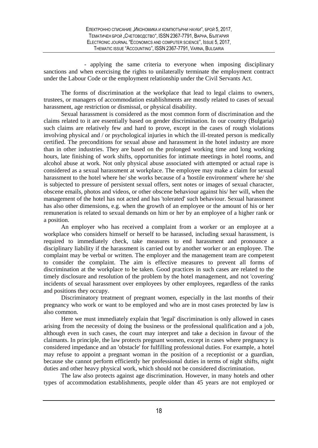- applying the same criteria to everyone when imposing disciplinary sanctions and when exercising the rights to unilaterally terminate the employment contract under the Labour Code or the employment relationship under the Civil Servants Act.

The forms of discrimination at the workplace that lead to legal claims to owners, trustees, or managers of accommodation establishments are mostly related to cases of sexual harassment, age restriction or dismissal, or physical disability.

Sexual harassment is considered as the most common form of discrimination and the claims related to it are essentially based on gender discrimination. In our country (Bulgaria) such claims are relatively few and hard to prove, except in the cases of rough violations involving physical and / or psychological injuries in which the ill-treated person is medically certified. The preconditions for sexual abuse and harassment in the hotel industry are more than in other industries. They are based on the prolonged working time and long working hours, late finishing of work shifts, opportunities for intimate meetings in hotel rooms, and alcohol abuse at work. Not only physical abuse associated with attempted or actual rape is considered as a sexual harassment at workplace. The employee may make a claim for sexual harassment to the hotel where he/ she works because of a 'hostile environment' where he/ she is subjected to pressure of persistent sexual offers, sent notes or images of sexual character, obscene emails, photos and videos, or other obscene behaviour against his/ her will, when the management of the hotel has not acted and has 'tolerated' such behaviour. Sexual harassment has also other dimensions, e.g. when the growth of an employee or the amount of his or her remuneration is related to sexual demands on him or her by an employee of a higher rank or a position.

An employer who has received a complaint from a worker or an employee at a workplace who considers himself or herself to be harassed, including sexual harassment, is required to immediately check, take measures to end harassment and pronounce a disciplinary liability if the harassment is carried out by another worker or an employee. The complaint may be verbal or written. The employer and the management team are competent to consider the complaint. The aim is effective measures to prevent all forms of discrimination at the workplace to be taken. Good practices in such cases are related to the timely disclosure and resolution of the problem by the hotel management, and not 'covering' incidents of sexual harassment over employees by other employees, regardless of the ranks and positions they occupy.

Discriminatory treatment of pregnant women, especially in the last months of their pregnancy who work or want to be employed and who are in most cases protected by law is also common.

Here we must immediately explain that 'legal' discrimination is only allowed in cases arising from the necessity of doing the business or the professional qualification and a job, although even in such cases, the court may interpret and take a decision in favour of the claimants. In principle, the law protects pregnant women, except in cases where pregnancy is considered impedance and an 'obstacle' for fulfilling professional duties. For example, a hotel may refuse to appoint a pregnant woman in the position of a receptionist or a guardian, because she cannot perform efficiently her professional duties in terms of night shifts, night duties and other heavy physical work, which should not be considered discrimination.

The law also protects against age discrimination. However, in many hotels and other types of accommodation establishments, people older than 45 years are not employed or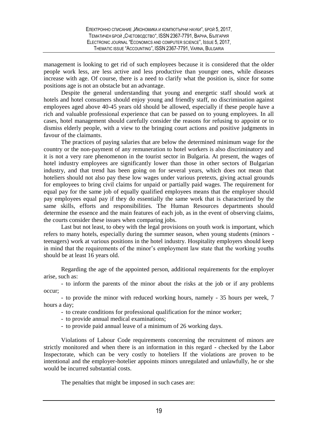management is looking to get rid of such employees because it is considered that the older people work less, are less active and less productive than younger ones, while diseases increase with age. Of course, there is a need to clarify what the position is, since for some positions age is not an obstacle but an advantage.

Despite the general understanding that young and energetic staff should work at hotels and hotel consumers should enjoy young and friendly staff, no discrimination against employees aged above 40-45 years old should be allowed, especially if these people have a rich and valuable professional experience that can be passed on to young employees. In all cases, hotel management should carefully consider the reasons for refusing to appoint or to dismiss elderly people, with a view to the bringing court actions and positive judgments in favour of the claimants.

The practices of paying salaries that are below the determined minimum wage for the country or the non-payment of any remuneration to hotel workers is also discriminatory and it is not a very rare phenomenon in the tourist sector in Bulgaria. At present, the wages of hotel industry employees are significantly lower than those in other sectors of Bulgarian industry, and that trend has been going on for several years, which does not mean that hoteliers should not also pay these low wages under various pretexts, giving actual grounds for employees to bring civil claims for unpaid or partially paid wages. The requirement for equal pay for the same job of equally qualified employees means that the employer should pay employees equal pay if they do essentially the same work that is characterized by the same skills, efforts and responsibilities. The Human Resources departments should determine the essence and the main features of each job, as in the event of observing claims, the courts consider these issues when comparing jobs.

Last but not least, to obey with the legal provisions on youth work is important, which refers to many hotels, especially during the summer season, when young students (minors teenagers) work at various positions in the hotel industry. Hospitality employers should keep in mind that the requirements of the minor's employment law state that the working youths should be at least 16 years old.

Regarding the age of the appointed person, additional requirements for the employer arise, such as:

- to inform the parents of the minor about the risks at the job or if any problems occur;

- to provide the minor with reduced working hours, namely - 35 hours per week, 7 hours a day;

- to create conditions for professional qualification for the minor worker;

- to provide annual medical examinations;
- to provide paid annual leave of a minimum of 26 working days.

Violations of Labour Code requirements concerning the recruitment of minors are strictly monitored and when there is an information in this regard - checked by the Labor Inspectorate, which can be very costly to hoteliers If the violations are proven to be intentional and the employer-hotelier appoints minors unregulated and unlawfully, he or she would be incurred substantial costs.

The penalties that might be imposed in such cases are: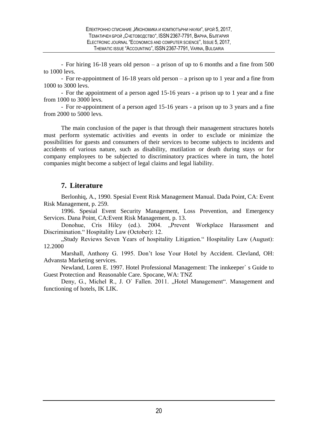- For hiring 16-18 years old person – a prison of up to 6 months and a fine from 500 to 1000 levs.

- For re-appointment of 16-18 years old person – a prison up to 1 year and a fine from 1000 to 3000 levs.

- For the appointment of a person aged 15-16 years - a prison up to 1 year and a fine from 1000 to 3000 levs.

- For re-appointment of a person aged 15-16 years - a prison up to 3 years and a fine from 2000 to 5000 levs.

The main conclusion of the paper is that through their management structures hotels must perform systematic activities and events in order to exclude or minimize the possibilities for guests and consumers of their services to become subjects to incidents and accidents of various nature, such as disability, mutilation or death during stays or for company employees to be subjected to discriminatory practices where in turn, the hotel companies might become a subject of legal claims and legal liability.

#### **7. Literature**

Berlonhiq, A., 1990. Spesial Event Risk Management Manual. Dada Point, CA: Event Risk Management, p. 259.

1996. Spesial Event Security Management, Loss Prevention, and Emergency Services. Dana Point, CA:Event Risk Management, p. 13.

Donohue, Cris Hiley (ed.). 2004. "Prevent Workplace Harassment and Discrimination." Hospitality Law (October): 12.

"Study Reviews Seven Years of hospitality Litigation." Hospitality Law (August): 12.2000

Marshall, Anthony G. 1995. Don't lose Your Hotel by Accident. Clevland, OH: Advansta Marketing services.

Newland, Loren E. 1997. Hotel Professional Management: The innkeeper` s Guide to Guest Protection and Reasonable Care. Spocane, WA: TNZ

Deny, G., Michel R., J. O' Fallen. 2011. "Hotel Management". Management and functioning of hotels, IK LIK.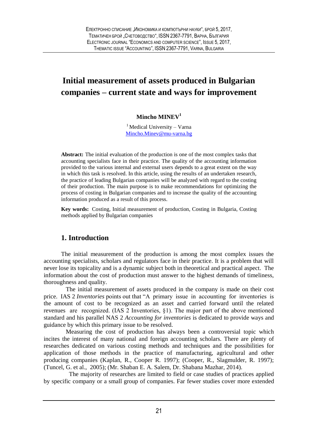## <span id="page-20-0"></span>**Initial measurement of assets produced in Bulgarian companies – current state and ways for improvement**

#### **Mincho MINEV<sup>1</sup>**

 $1$ Medical University – Varna [Mincho.Minev@mu-varna.bg](mailto:Mincho.Minev@mu-varna.bg)

**Abstract:** The initial evaluation of the production is one of the most complex tasks that accounting specialists face in their practice. The quality of the accounting information provided to the various internal and external users depends to a great extent on the way in which this task is resolved. In this article, using the results of an undertaken research, the practice of leading Bulgarian companies will be analyzed with regard to the costing of their production. The main purpose is to make recommendations for optimizing the process of costing in Bulgarian companies and to increase the quality of the accounting information produced as a result of this process.

**Key words:** Costing, Initial measurement of production, Costing in Bulgaria, Costing methods applied by Bulgarian companies

#### **1. Introduction**

The initial measurement of the production is among the most complex issues the accounting specialists, scholars and regulators face in their practice. It is a problem that will never lose its topicality and is a dynamic subject both in theoretical and practical aspect. The information about the cost of production must answer to the highest demands of timeliness, thoroughness and quality.

The initial measurement of assets produced in the company is made on their cost price. IAS 2 *Inventories* points out that "A primary issue in accounting for inventories is the amount of cost to be recognized as an asset and carried forward until the related revenues are recognized. (IAS 2 Inventories, §1). The major part of the above mentioned standard and his parallel NAS 2 *Accounting for inventories* is dedicated to provide ways and guidance by which this primary issue to be resolved.

Measuring the cost of production has always been a controversial topic which incites the interest of many national and foreign accounting scholars. There are plenty of researches dedicated on various costing methods and techniques and the possibilities for application of those methods in the practice of manufacturing, agricultural and other producing companies (Kaplan, R., Cooper R. 1997); (Cooper, R., Slagmulder, R. 1997); (Tuncel, G. et al., 2005); (Mr. Shaban E. A. Salem, Dr. Shabana Mazhar, 2014).

 The majority of researches are limited to field or case studies of practices applied by specific company or a small group of companies. Far fewer studies cover more extended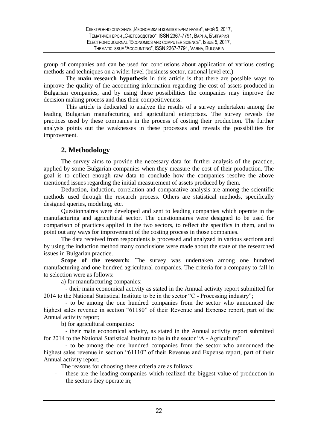group of companies and can be used for conclusions about application of various costing methods and techniques on a wider level (business sector, national level etc.)

The **main research hypothesis** in this article is that there are possible ways to improve the quality of the accounting information regarding the cost of assets produced in Bulgarian companies, and by using these possibilities the companies may improve the decision making process and thus their competitiveness.

This article is dedicated to analyze the results of a survey undertaken among the leading Bulgarian manufacturing and agricultural enterprises. The survey reveals the practices used by these companies in the process of costing their production. The further analysis points out the weaknesses in these processes and reveals the possibilities for improvement.

#### **2. Methodology**

The survey aims to provide the necessary data for further analysis of the practice, applied by some Bulgarian companies when they measure the cost of their production. The goal is to collect enough raw data to conclude how the companies resolve the above mentioned issues regarding the initial measurement of assets produced by them.

Deduction, induction, correlation and comparative analysis are among the scientific methods used through the research process. Others are statistical methods, specifically designed queries, modeling, etc.

Questionnaires were developed and sent to leading companies which operate in the manufacturing and agricultural sector. The questionnaires were designed to be used for comparison of practices applied in the two sectors, to reflect the specifics in them, and to point out any ways for improvement of the costing process in those companies.

The data received from respondents is processed and analyzed in various sections and by using the induction method many conclusions were made about the state of the researched issues in Bulgarian practice.

Scope of the research: The survey was undertaken among one hundred manufacturing and one hundred agricultural companies. The criteria for a company to fall in to selection were as follows:

a) for manufacturing companies:

- their main economical activity as stated in the Annual activity report submitted for 2014 to the National Statistical Institute to be in the sector "C - Processing industry";

- to be among the one hundred companies from the sector who announced the highest sales revenue in section "61180" of their Revenue and Expense report, part of the Annual activity report;

b) for agricultural companies:

- their main economical activity, as stated in the Annual activity report submitted for 2014 to the National Statistical Institute to be in the sector "A - Agriculture"

- to be among the one hundred companies from the sector who announced the highest sales revenue in section "61110" of their Revenue and Expense report, part of their Annual activity report.

The reasons for choosing these criteria are as follows:

these are the leading companies which realized the biggest value of production in the sectors they operate in;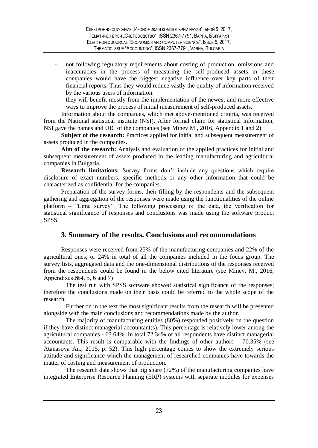- not following regulatory requirements about costing of production, omissions and inaccuracies in the process of measuring the self-produced assets in these companies would have the biggest negative influence over key parts of their financial reports. Thus they would reduce vastly the quality of information received by the various users of information.
- they will benefit mostly from the implementation of the newest and more effective ways to improve the process of initial measurement of self-produced assets.

Information about the companies, which met above-mentioned criteria, was received from the National statistical institute (NSI). After formal claim for statistical information, NSI gave the names and UIC of the companies (see Minev M., 2016, Appendix 1 and 2)

**Subject of the research:** Practices applied for initial and subsequent measurement of assets produced in the companies.

**Aim of the research:** Analysis and evaluation of the applied practices for initial and subsequent measurement of assets produced in the leading manufacturing and agricultural companies in Bulgaria.

**Research limitations:** Survey forms don't include any questions which require disclosure of exact numbers, specific methods or any other information that could be characterized as confidential for the companies.

Preparation of the survey forms, their filling by the respondents and the subsequent gathering and aggregation of the responses were made using the functionalities of the online platform – "Lime survey". The following processing of the data, the verification for statistical significance of responses and conclusions was made using the software product SPSS.

#### **3. Summary of the results. Conclusions and recommendations**

Responses were received from 25% of the manufacturing companies and 22% of the agricultural ones, or 24% in total of all the companies included in the focus group. The survey lists, aggregated data and the one-dimensional distributions of the responses received from the respondents could be found in the below cited literature (see Minev, M., 2016, Appendixes  $N<sub>2</sub>4, 5, 6$  and 7)

The test run with SPSS software showed statistical significance of the responses; therefore the conclusions made on their basis could be referred to the whole scope of the research.

Further on in the text the most significant results from the research will be presented alongside with the main conclusions and recommendations made by the author.

The majority of manufacturing entities (80%) responded positively on the question if they have distinct managerial accountant(s). This percentage is relatively lower among the agricultural companies - 63.64%. In total 72.34% of all respondents have distinct managerial accountants. This result is comparable with the findings of other authors – 70.35% (see Atanasova An., 2015, p. 52). This high percentage comes to show the extremely serious attitude and significance which the management of researched companies have towards the matter of costing and measurement of production.

The research data shows that big share (72%) of the manufacturing companies have integrated Enterprise Resource Planning (ERP) systems with separate modules for expenses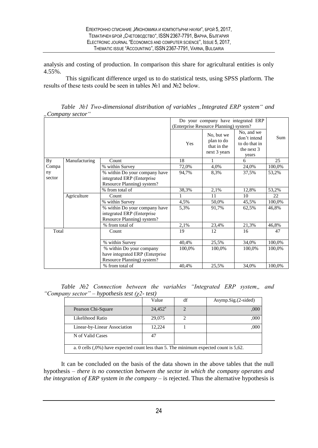analysis and costing of production. In comparison this share for agricultural entities is only 4.55%.

This significant difference urged us to do statistical tests, using SPSS platform. The results of these tests could be seen in tables №1 and №2 below.

|              | ,, company secret |                                                                                           |                                     |                                                         |                                                                      |        |
|--------------|-------------------|-------------------------------------------------------------------------------------------|-------------------------------------|---------------------------------------------------------|----------------------------------------------------------------------|--------|
|              |                   |                                                                                           | Do your company have integrated ERP |                                                         |                                                                      |        |
|              |                   |                                                                                           |                                     | (Enterprise Resource Planning) system?                  |                                                                      |        |
|              |                   |                                                                                           | Yes                                 | No, but we<br>plan to do<br>that in the<br>next 3 years | No, and we<br>don't intend<br>to do that in<br>the next $3$<br>years | Sum    |
| By           | Manufacturing     | Count                                                                                     | 18                                  | 1                                                       | 6                                                                    | 25     |
| Compa        |                   | % within Survey                                                                           | 72,0%                               | 4,0%                                                    | 24,0%                                                                | 100,0% |
| ny<br>sector |                   | % within Do your company have<br>integrated ERP (Enterprise<br>Resource Planning) system? | 94,7%                               | 8.3%                                                    | 37,5%                                                                | 53,2%  |
|              |                   | % from total of                                                                           | 38,3%                               | 2,1%                                                    | 12,8%                                                                | 53,2%  |
|              | Agriculture       | Count                                                                                     |                                     | 11                                                      | 10                                                                   | 22     |
|              |                   | % within Survey                                                                           | 4,5%                                | 50,0%                                                   | 45,5%                                                                | 100,0% |
|              |                   | % within Do your company have<br>integrated ERP (Enterprise<br>Resource Planning) system? | 5,3%                                | 91,7%                                                   | 62,5%                                                                | 46,8%  |
|              |                   | % from total of                                                                           | 2,1%                                | 23,4%                                                   | 21,3%                                                                | 46,8%  |
| Total        |                   | Count                                                                                     | 19                                  | 12                                                      | 16                                                                   | 47     |
|              |                   | % within Survey                                                                           | 40,4%                               | 25,5%                                                   | 34,0%                                                                | 100,0% |
|              |                   | % within Do your company<br>have integrated ERP (Enterprise<br>Resource Planning) system? | 100,0%                              | 100,0%                                                  | 100,0%                                                               | 100,0% |
|              |                   | % from total of                                                                           | 40,4%                               | 25,5%                                                   | 34,0%                                                                | 100,0% |

*Table №1 Two-dimensional distribution of variables "Integrated ЕRP system" and "Company sector"*

*Table N*22 Connection between the variables "Integrated ERP system,, and *"Company sector" – hypothesis test (χ2- test)*

|                                                                                         | Value            | df | $Asymp.Sig.$ $(2-sided)$ |
|-----------------------------------------------------------------------------------------|------------------|----|--------------------------|
| Pearson Chi-Square                                                                      | $24.452^{\rm a}$ |    | .000                     |
| Likelihood Ratio                                                                        | 29,075           |    | .000                     |
| Linear-by-Linear Association                                                            | 12,224           |    | .000                     |
| N of Valid Cases                                                                        | 47               |    |                          |
| a. 0 cells $(.0%)$ have expected count less than 5. The minimum expected count is 5,62. |                  |    |                          |

It can be concluded on the basis of the data shown in the above tables that the null hypothesis – *there is no connection between the sector in which the company operates and the integration of ERP system in the company* – is rejected. Thus the alternative hypothesis is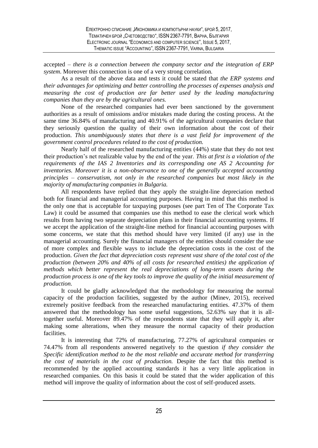accepted – *there is a connection between the company sector and the integration of ERP system*. Moreover this connection is one of a very strong correlation.

As a result of the above data and tests it could be stated that *the ERP systems and their advantages for optimizing and better controlling the processes of expenses analysis and measuring the cost of production are far better used by the leading manufacturing companies than they are by the agricultural ones.*

None of the researched companies had ever been sanctioned by the government authorities as a result of omissions and/or mistakes made during the costing process. At the same time 36.84% of manufacturing and 40.91% of the agricultural companies declare that they seriously question the quality of their own information about the cost of their production. *This unambiguously states that there is a vast field for improvement of the government control procedures related to the cost of production.*

Nearly half of the researched manufacturing entities (44%) state that they do not test their production's net realizable value by the end of the year. *This at first is a violation of the requirements of the IAS 2 Inventories and its corresponding one AS 2 Accounting for inventories. Moreover it is a non-observance to one of the generally accepted accounting principles – conservatism, not only in the researched companies but most likely in the majority of manufacturing companies in Bulgaria.*

All respondents have replied that they apply the straight-line depreciation method both for financial and managerial accounting purposes. Having in mind that this method is the only one that is acceptable for taxpaying purposes (see part Ten of The Corporate Tax Law) it could be assumed that companies use this method to ease the clerical work which results from having two separate depreciation plans in their financial accounting systems. If we accept the application of the straight-line method for financial accounting purposes with some concerns, we state that this method should have very limited (if any) use in the managerial accounting. Surely the financial managers of the entities should consider the use of more complex and flexible ways to include the depreciation costs in the cost of the production. *Given the fact that depreciation costs represent vast share of the total cost of the production (between 20% and 40% of all costs for researched entities) the application of methods which better represent the real depreciations of long-term assets during the production process is one of the key tools to improve the quality of the initial measurement of production.*

It could be gladly acknowledged that the methodology for measuring the normal capacity of the production facilities, suggested by the author (Minev, 2015), received extremely positive feedback from the researched manufacturing entities. 47.37% of them answered that the methodology has some useful suggestions, 52.63% say that it is alltogether useful. Moreover 89.47% of the respondents state that they will apply it, after making some alterations, when they measure the normal capacity of their production facilities.

It is interesting that 72% of manufacturing, 77.27% of agricultural companies or 74.47% from all respondents answered negatively to the question *if they consider the Specific identification method to be the most reliable and accurate method for transferring the cost of materials in the cost of production.* Despite the fact that this method is recommended by the applied accounting standards it has a very little application in researched companies. On this basis it could be stated that the wider application of this method will improve the quality of information about the cost of self-produced assets.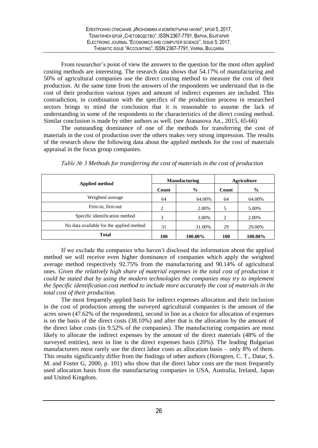From researcher's point of view the answers to the question for the most often applied costing methods are interesting. The research data shows that 54.17% of manufacturing and 50% of agricultural companies use the direct costing method to measure the cost of their production. At the same time from the answers of the respondents we understand that in the cost of their production various types and amount of indirect expenses are included. This contradiction, in combination with the specifics of the production process in researched sectors brings to mind the conclusion that it is reasonable to assume the lack of understanding in some of the respondents to the characteristics of the direct costing method. Similar conclusion is made by other authors as well. (see Atanasova An., 2015, 65-66)

The outstanding dominance of one of the methods for transferring the cost of materials in the cost of production over the others makes very strong impression. The results of the research show the following data about the applied methods for the cost of materials appraisal in the focus group companies.

| <b>Applied method</b>                    |       | <b>Manufacturing</b> |            | <b>Agriculture</b> |
|------------------------------------------|-------|----------------------|------------|--------------------|
|                                          | Count | $\frac{6}{9}$        | Count      | $\%$               |
| Weighted average                         | 64    | 64.00%               | 64         | 64.00%             |
| First-in, first-out                      | 2     | 2.00%                | 5          | 5.00%              |
| Specific identification method           | 3     | 3.00%                | 2          | 2.00%              |
| No data available for the applied method | 31    | 31.00%               | 29         | 29.00%             |
| <b>Total</b>                             | 100   | 100.00%              | <b>100</b> | 100.00%            |

*Table № 3 Methods for transferring the cost of materials in the cost of production*

If we exclude the companies who haven't disclosed the information about the applied method we will receive even higher dominance of companies which apply the weighted average method respectively 92.75% from the manufacturing and 90.14% of agricultural ones. *Given the relatively high share of material expenses in the total cost of production it could be stated that by using the modern technologies the companies may try to implement the Specific identification cost method to include more accurately the cost of materials in the total cost of their production.*

The most frequently applied basis for indirect expenses allocation and their inclusion in the cost of production among the surveyed agricultural companies is the amount of the acres sown (47.62% of the respondents), second in line as a choice for allocation of expenses is on the basis of the direct costs (38.10%) and after that is the allocation by the amount of the direct labor costs (in 9.52% of the companies). The manufacturing companies are most likely to allocate the indirect expenses by the amount of the direct materials (48% of the surveyed entities), next in line is the direct expenses basis (20%). The leading Bulgarian manufacturers most rarely use the direct labor costs as allocation basis – only 8% of them. This results significantly differ from the findings of other authors (Horngren, C. T., Datar, S. M. and Foster G, 2000, p. 101) who show that the direct labor costs are the most frequently used allocation basis from the manufacturing companies in USA, Australia, Ireland, Japan and United Kingdom.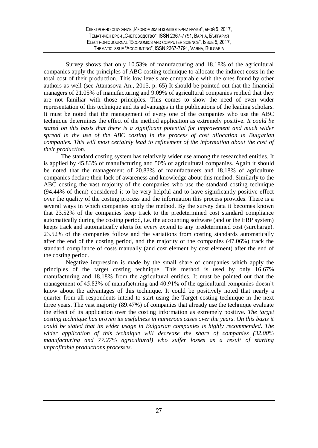Survey shows that only 10.53% of manufacturing and 18.18% of the agricultural companies apply the principles of ABC costing technique to allocate the indirect costs in the total cost of their production. This low levels are comparable with the ones found by other authors as well (see Atanasova An., 2015, p. 65) It should be pointed out that the financial managers of 21.05% of manufacturing and 9.09% of agricultural companies replied that they are not familiar with those principles. This comes to show the need of even wider representation of this technique and its advantages in the publications of the leading scholars. It must be noted that the management of every one of the companies who use the ABC technique determines the effect of the method application as extremely positive. *It could be stated on this basis that there is a significant potential for improvement and much wider spread in the use of the ABC costing in the process of cost allocation in Bulgarian companies. This will most certainly lead to refinement of the information about the cost of their production.*

The standard costing system has relatively wider use among the researched entities. It is applied by 45.83% of manufacturing and 50% of agricultural companies. Again it should be noted that the management of 20.83% of manufacturers and 18.18% of agriculture companies declare their lack of awareness and knowledge about this method. Similarly to the ABC costing the vast majority of the companies who use the standard costing technique (94.44% of them) considered it to be very helpful and to have significantly positive effect over the quality of the costing process and the information this process provides. There is a several ways in which companies apply the method. By the survey data it becomes known that 23.52% of the companies keep track to the predetermined cost standard compliance automatically during the costing period, i.e. the accounting software (and or the ERP system) keeps track and automatically alerts for every extend to any predetermined cost (surcharge). 23.52% of the companies follow and the variations from costing standards automatically after the end of the costing period, and the majority of the companies (47.06%) track the standard compliance of costs manually (and cost element by cost element) after the end of the costing period.

Negative impression is made by the small share of companies which apply the principles of the target costing technique. This method is used by only 16.67% manufacturing and 18.18% from the agricultural entities. It must be pointed out that the management of 45.83% of manufacturing and 40.91% of the agricultural companies doesn't know about the advantages of this technique. It could be positively noted that nearly a quarter from all respondents intend to start using the Target costing technique in the next three years. The vast majority (89.47%) of companies that already use the technique evaluate the effect of its application over the costing information as extremely positive. *The target costing technique has proven its usefulness in numerous cases over the years. On this basis it could be stated that its wider usage in Bulgarian companies is highly recommended. The wider application of this technique will decrease the share of companies (32.00% manufacturing and 77.27% agricultural) who suffer losses as a result of starting unprofitable productions processes.*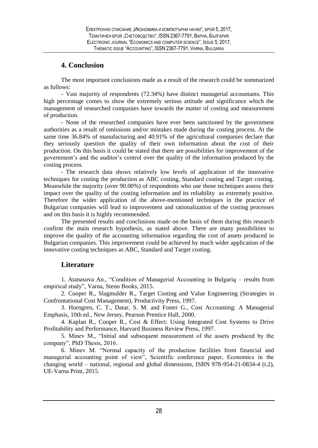#### **4. Conclusion**

The most important conclusions made as a result of the research could be summarized as follows:

- Vast majority of respondents (72.34%) have distinct managerial accountants. This high percentage comes to show the extremely serious attitude and significance which the management of researched companies have towards the matter of costing and measurement of production.

- None of the researched companies have ever been sanctioned by the government authorities as a result of omissions and/or mistakes made during the costing process. At the same time 36.84% of manufacturing and 40.91% of the agricultural companies declare that they seriously question the quality of their own information about the cost of their production. On this basis it could be stated that there are possibilities for improvement of the government's and the auditоr's control over the quality of the information produced by the costing process.

- The research data shows relatively low levels of application of the innovative techniques for costing the production as ABC costing, Standard costing and Target costing. Meanwhile the majority (over 90.00%) of respondents who use those techniques assess their impact over the quality of the costing information and its reliability as extremely positive. Therefore the wider application of the above-mentioned techniques in the practice of Bulgarian companies will lead to improvement and rationalization of the costing processes and on this basis it is highly recommended.

The presented results and conclusions made on the basis of them during this research confirm the main research hypothesis, as stated above. There are many possibilities to improve the quality of the accounting information regarding the cost of assets produced in Bulgarian companies. This improvement could be achieved by much wider application of the innovative costing techniques as ABC, Standard and Target costing.

#### **Literature**

1. Atanasova An., "Condition of Managerial Accounting in Bulgariq – results from empirical study", Varna, Steno Books, 2015.

2. Cooper R., Slagmulder R., Target Costing and Value Engineering (Strategies in Confrontational Cost Management), Productivity Press, 1997.

3. Horngren, C. T., Datar, S. M. and Foster G*.,* Cost Accounting: A Managerial Emphasis, 10th ed*.*, New Jersey, Pearson Prentice Hall, 2000.

4. Kaplan R., Cooper R., Cost & Effect: Using Integrated Cost Systems to Drive Profitability and Performance, Harvard Business Review Press, 1997.

5. Minev M., "Initial and subsequent measurement of the assets produced by the company", PhD Thesis, 2016.

6. Minev M. "Normal capacity of the production facilities from financial and managerial accounting point of view", Scientific conference paper, Economics in the changing world – national, regional and global dimensions, ISBN 978-954-21-0834-4 (t.2), UE-Varna Print, 2015.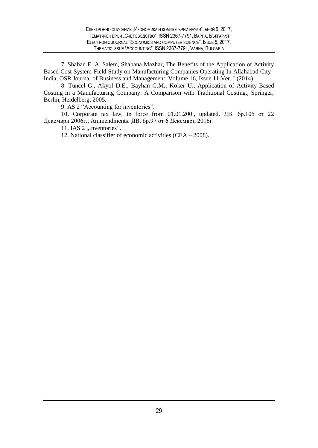7. Shaban E. A. Salem, Shabana Mazhar, The Benefits of the Application of Activity Based Cost System-Field Study on Manufacturing Companies Operating In Allahabad City– India, OSR Journal of Business and Management, Volume 16, Issue 11.Ver. I (2014)

8. Tuncel G., Akyol D.E., Bayhan G.M., Koker U., Application of Activity-Based Costing in a Manufacturing Company: A Comparison with Traditional Costing., Springer, Berlin, Heidelberg, 2005.

9. AS 2 "Accounting for inventories".

10**.** Corporate tax law, in force from 01.01.200., updated. ДВ. бр.105 от 22 Декември 2006г., Ammendments. ДВ. бр.97 от 6 Декември 2016г.

11. IAS  $2$  , Inventories".

12. National classifier of economic activities (CEA – 2008).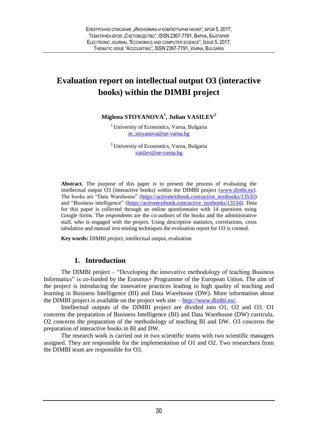## <span id="page-29-0"></span>**Evaluation report on intellectual output O3 (interactive books) within the DIMBI project**

**Miglena STOYANOVA<sup>1</sup> , Julian VASILEV<sup>2</sup>**

<sup>1</sup> University of Economics, Varna, Bulgaria m[\\_stoyanova@](mailto:m_stoyanova@ue-varna.bg)ue-varna.bg

<sup>2</sup>University of Economics, Varna, Bulgaria [vasilev@ue-varna.bg](mailto:vasilev@ue-varna.bg)

**Abstract.** The purpose of this paper is to present the process of evaluating the intellectual output O3 (interactive books) within the DIMBI project [\(www.dimbi.eu\)](http://www.dimbi.eu/). The books are "Data Warehouse" [\(https://activetextbook.com/active\\_textbooks/13535\)](https://activetextbook.com/active_textbooks/13535) and "Business intelligence" [\(https://activetextbook.com/active\\_textbooks/13534\)](https://activetextbook.com/active_textbooks/13534). Data for this paper is collected through an online questionnaire with 14 questions using Google forms. The respondents are the co-authors of the books and the administrative staff, who is engaged with the project. Using descriptive statistics, correlations, cross tabulation and manual text mining techniques the evaluation report for O3 is created.

**Key words:** DIMBI project, intellectual output, evaluation

#### **1. Introduction**

The DIMBI project – "Developing the innovative methodology of teaching Business Informatics" is co-funded by the Erasmus+ Programme of the European Union. The aim of the project is introducing the innovative practices leading to high quality of teaching and learning in Business Intelligence (BI) and Data Warehouse (DW). More information about the DIMBI project is available on the project web site – [http://www.dimbi.eu/.](http://www.dimbi.eu/)

Intellectual outputs of the DIMBI project are divided into O1, O2 and O3. O1 concerns the preparation of Business Intelligence (BI) and Data Warehouse (DW) curricula. O2 concerns the preparation of the methodology of teaching BI and DW. O3 concerns the preparation of interactive books in BI and DW.

The research work is carried out in two scientific teams with two scientific managers assigned. They are responsible for the implementation of O1 and O2. Two researchers from the DIMBI team are responsible for O3.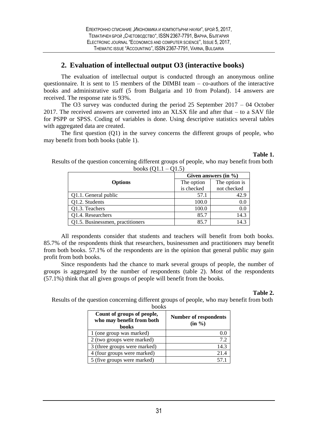#### **2. Evaluation of intellectual output O3 (interactive books)**

The evaluation of intellectual output is conducted through an anonymous online questionnaire. It is sent to 15 members of the DIMBI team – co-authors of the interactive books and administrative staff (5 from Bulgaria and 10 from Poland). 14 answers are received. The response rate is 93%.

The O3 survey was conducted during the period  $25$  September  $2017 - 04$  October 2017. The received answers are converted into an XLSX file and after that – to a SAV file for PSPP or SPSS. Coding of variables is done. Using descriptive statistics several tables with aggregated data are created.

The first question (Q1) in the survey concerns the different groups of people, who may benefit from both books (table 1).

|                                  | Given answers $(in \%)$ |               |  |  |
|----------------------------------|-------------------------|---------------|--|--|
| <b>Options</b>                   | The option              | The option is |  |  |
|                                  | is checked              | not checked   |  |  |
| Q1.1. General public             | 57.1                    | 42.9          |  |  |
| O1.2. Students                   | 100.0                   | 0.0           |  |  |
| O1.3. Teachers                   | 100.0                   | 0.0           |  |  |
| O1.4. Researchers                | 85.7                    | 14.3          |  |  |
| Q1.5. Businessmen, practitioners | 85.7                    | 14.3          |  |  |

Results of the question concerning different groups of people, who may benefit from both books  $(01.1 - 01.5)$ 

All respondents consider that students and teachers will benefit from both books. 85.7% of the respondents think that researchers, businessmen and practitioners may benefit from both books. 57.1% of the respondents are in the opinion that general public may gain profit from both books.

Since respondents had the chance to mark several groups of people, the number of groups is aggregated by the number of respondents (table 2). Most of the respondents (57.1%) think that all given groups of people will benefit from the books.

#### **Table 2.**

**Table 1.**

Results of the question concerning different groups of people, who may benefit from both books

| <u>UUU W</u>                                                     |                                           |
|------------------------------------------------------------------|-------------------------------------------|
| Count of groups of people,<br>who may benefit from both<br>books | <b>Number of respondents</b><br>$(in \%)$ |
| 1 (one group was marked)                                         | 0.0                                       |
| 2 (two groups were marked)                                       | 7.2                                       |
| 3 (three groups were marked)                                     | 14.3                                      |
| 4 (four groups were marked)                                      | 21.4                                      |
| 5 (five groups were marked)                                      | 57.1                                      |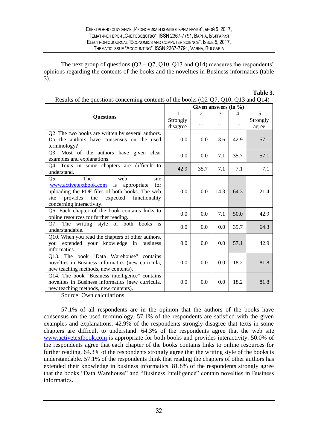The next group of questions  $(Q2 - Q7, Q10, Q13)$  and  $Q14$ ) measures the respondents' opinions regarding the contents of the books and the novelties in Business informatics (table 3).

| Results of the questions concerning contents of the books $(Q_2-Q)$ , $Q_1O$ , $Q_1S$ and $Q_14$ ) |          |                         |      |      |          |
|----------------------------------------------------------------------------------------------------|----------|-------------------------|------|------|----------|
|                                                                                                    |          | Given answers $(in \%)$ |      |      |          |
| <b>Ouestions</b>                                                                                   | 1        | 2                       | 3    | 4    | 5        |
|                                                                                                    | Strongly |                         |      |      | Strongly |
|                                                                                                    | disagree | .                       | .    | .    | agree    |
| Q2. The two books are written by several authors.                                                  |          |                         |      |      |          |
| Do the authors have consensus on the used                                                          | 0.0      | 0.0                     | 3.6  | 42.9 | 57.1     |
| terminology?                                                                                       |          |                         |      |      |          |
| Q3. Most of the authors have given clear                                                           | 0.0      | 0.0                     | 7.1  | 35.7 | 57.1     |
| examples and explanations.                                                                         |          |                         |      |      |          |
| Q4. Texts in some chapters are difficult to                                                        | 42.9     | 35.7                    | 7.1  | 7.1  | 7.1      |
| understand.                                                                                        |          |                         |      |      |          |
| Q5.<br>The<br>web<br>site                                                                          |          |                         |      |      |          |
| www.activetextbook.com is appropriate<br>for                                                       |          |                         |      |      |          |
| uploading the PDF files of both books. The web                                                     | 0.0      | 0.0                     | 14.3 | 64.3 | 21.4     |
| site<br>provides<br>the<br>expected functionality                                                  |          |                         |      |      |          |
| concerning interactivity.                                                                          |          |                         |      |      |          |
| Q6. Each chapter of the book contains links to                                                     | 0.0      | 0.0                     | 7.1  | 50.0 | 42.9     |
| online resources for further reading.                                                              |          |                         |      |      |          |
| Q7. The writing style of both books is                                                             | 0.0      | 0.0                     | 0.0  | 35.7 | 64.3     |
| understandable.                                                                                    |          |                         |      |      |          |
| Q10. When you read the chapters of other authors,                                                  |          |                         |      |      |          |
| you extended your knowledge in business                                                            | 0.0      | 0.0                     | 0.0  | 57.1 | 42.9     |
| informatics.                                                                                       |          |                         |      |      |          |
| Q13. The book "Data Warehouse" contains                                                            |          |                         |      |      |          |
| novelties in Business informatics (new curricula,                                                  | 0.0      | 0.0                     | 0.0  | 18.2 | 81.8     |
| new teaching methods, new contents).                                                               |          |                         |      |      |          |
| Q14. The book "Business intelligence" contains                                                     |          |                         |      |      |          |
| novelties in Business informatics (new curricula,                                                  | 0.0      | 0.0                     | 0.0  | 18.2 | 81.8     |
| new teaching methods, new contents).                                                               |          |                         |      |      |          |

**Table 3.** Results of the questions concerning contents of the books (Q2-Q7, Q10, Q13 and Q14)

Source: Own calculations

57.1% of all respondents are in the opinion that the authors of the books have consensus on the used terminology. 57.1% of the respondents are satisfied with the given examples and explanations. 42.9% of the respondents strongly disagree that texts in some chapters are difficult to understand. 64.3% of the respondents agree that the web site [www.activetextbook.com](https://www.google.com/url?q=http://www.activetextbook.com&sa=D&ust=1507379920206000&usg=AFQjCNEyUJcHb5NTZ4PwiUdttDoDlAdJrQ) is appropriate for both books and provides interactivity. 50.0% of the respondents agree that each chapter of the books contains links to online resources for further reading. 64.3% of the respondents strongly agree that the writing style of the books is understandable. 57.1% of the respondents think that reading the chapters of other authors has extended their knowledge in business informatics. 81.8% of the respondents strongly agree that the books "Data Warehouse" and "Business Intelligence" contain novelties in Business informatics.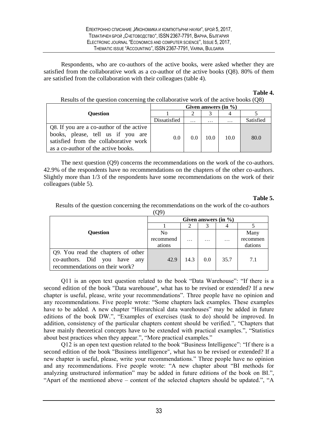Respondents, who are co-authors of the active books, were asked whether they are satisfied from the collaborative work as a co-author of the active books (Q8). 80% of them are satisfied from the collaboration with their colleagues (table 4).

#### **Table 4.**

#### Results of the question concerning the collaborative work of the active books (Q8)

|                                                                                                                                                               |               |     |      | Given answers $(in \%)$ |           |
|---------------------------------------------------------------------------------------------------------------------------------------------------------------|---------------|-----|------|-------------------------|-----------|
| <b>Ouestion</b>                                                                                                                                               |               |     |      |                         |           |
|                                                                                                                                                               | Dissatisfied  | .   | .    | $\cdots$                | Satisfied |
| Q8. If you are a co-author of the active<br>books, please, tell us if you are<br>satisfied from the collaborative work<br>as a co-author of the active books. | $0.0^{\circ}$ | 0.0 | 10.0 | 10.0                    | 80.0      |

The next question (Q9) concerns the recommendations on the work of the co-authors. 42.9% of the respondents have no recommendations on the chapters of the other co-authors. Slightly more than 1/3 of the respondents have some recommendations on the work of their colleagues (table 5).

#### **Table 5.**

Results of the question concerning the recommendations on the work of the co-authors  $(09)$ 

|                                    |                |          |          | Given answers $(in \%)$ |          |
|------------------------------------|----------------|----------|----------|-------------------------|----------|
|                                    |                |          |          |                         |          |
| <b>Ouestion</b>                    | N <sub>0</sub> |          |          |                         | Many     |
|                                    | recommend      | $\cdots$ | $\cdots$ | .                       | recommen |
|                                    | ations         |          |          |                         | dations  |
| Q9. You read the chapters of other |                |          |          |                         |          |
| co-authors. Did you have any       | 42.9           | 14.3     | 0.0      | 35.7                    | 7.1      |
| recommendations on their work?     |                |          |          |                         |          |

Q11 is an open text question related to the book "Data Warehouse": "If there is a second edition of the book "Data warehouse", what has to be revised or extended? If a new chapter is useful, please, write your recommendations". Three people have no opinion and any recommendations. Five people wrote: "Some chapters lack examples. These examples have to be added. A new chapter "Hierarchical data warehouses" may be added in future editions of the book DW.", "Examples of exercises (task to do) should be improved. In addition, consistency of the particular chapters content should be verified.", "Chapters that have mainly theoretical concepts have to be extended with practical examples.", "Statistics about best practices when they appear.", "More practical examples."

Q12 is an open text question related to the book "Business Intelligence": "If there is a second edition of the book "Business intelligence", what has to be revised or extended? If a new chapter is useful, please, write your recommendations." Three people have no opinion and any recommendations. Five people wrote: "A new chapter about "BI methods for analyzing unstructured information" may be added in future editions of the book on BI.", "Apart of the mentioned above – content of the selected chapters should be updated.", "A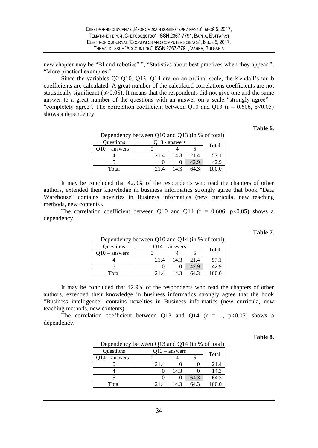new chapter may be "BI and robotics".", "Statistics about best practices when they appear.", "More practical examples."

Since the variables Q2-Q10, Q13, Q14 are on an ordinal scale, the Kendall's tau-b coefficients are calculated. A great number of the calculated correlations coefficients are not statistically significant  $(p>0.05)$ . It means that the respondents did not give one and the same answer to a great number of the questions with an answer on a scale "strongly agree"  $-$ "completely agree". The correlation coefficient between Q10 and Q13 ( $r = 0.606$ ,  $p < 0.05$ ) shows a dependency.

#### **Table 6.**

| $D$ beging the $\gamma$ between Q <sub>10</sub> and Q <sub>19</sub> (in 70 or total) |                 |      |       |       |  |
|--------------------------------------------------------------------------------------|-----------------|------|-------|-------|--|
| <b>Questions</b>                                                                     | $Q13$ - answers |      | Total |       |  |
| $Q10 -$ answers                                                                      |                 |      |       |       |  |
|                                                                                      | 21.4            | 14.3 | 21.4  | 57.1  |  |
|                                                                                      |                 |      | 42.9  | 42.9  |  |
| Total                                                                                | 21.4            | 14.3 | 64.3  | 100.0 |  |

Dependency between Q10 and Q13 (in % of total)

It may be concluded that 42.9% of the respondents who read the chapters of other authors, extended their knowledge in business informatics strongly agree that book "Data Warehouse" contains novelties in Business informatics (new curricula, new teaching methods, new contents).

The correlation coefficient between Q10 and Q14 ( $r = 0.606$ ,  $p < 0.05$ ) shows a dependency.

#### **Table 7.**

| Dependency between Q10 and Q14 (in % of total) |      |                 |      |       |  |  |
|------------------------------------------------|------|-----------------|------|-------|--|--|
| <b>Questions</b>                               |      | $Q14 -$ answers |      |       |  |  |
| - answers                                      |      |                 |      | Total |  |  |
|                                                | 21.4 | 14.3            | 21.4 | 57.1  |  |  |
|                                                |      |                 | 42.9 | 42.9  |  |  |
| Total                                          | 21.4 | 14.3            | 64.3 | 100.0 |  |  |

It may be concluded that 42.9% of the respondents who read the chapters of other authors, extended their knowledge in business informatics strongly agree that the book "Business intelligence" contains novelties in Business informatics (new curricula, new teaching methods, new contents).

The correlation coefficient between Q13 and Q14 ( $r = 1$ ,  $p < 0.05$ ) shows a dependency.

#### **Table 8.**

| Dependency between Q13 and Q14 (in % of total) |      |                 |      |       |  |
|------------------------------------------------|------|-----------------|------|-------|--|
| <b>Questions</b>                               |      | $Q13$ – answers |      | Total |  |
| O14 – answers                                  |      |                 |      |       |  |
|                                                | 21.4 |                 |      | 21.4  |  |
|                                                |      | 14.3            |      | 14.3  |  |
|                                                |      |                 | 64.3 | 64.3  |  |
| Total                                          | 21.4 | 14 3            | 64.3 | 100.0 |  |